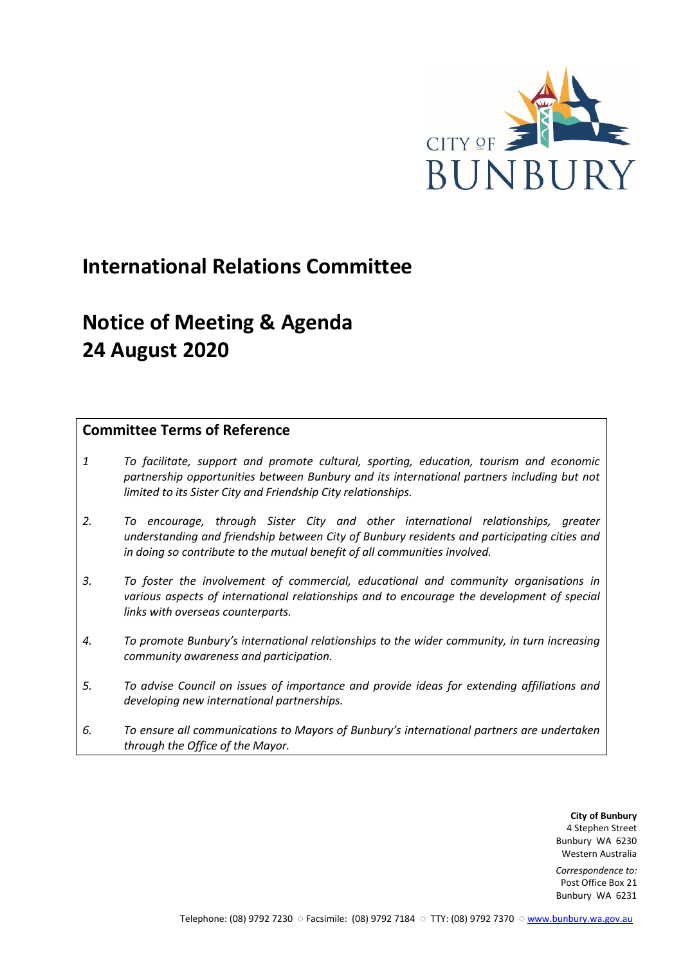

# **International Relations Committee**

# **Notice of Meeting & Agenda 24 August 2020**

## **Committee Terms of Reference**

- *1 To facilitate, support and promote cultural, sporting, education, tourism and economic partnership opportunities between Bunbury and its international partners including but not limited to its Sister City and Friendship City relationships.*
- *2. To encourage, through Sister City and other international relationships, greater understanding and friendship between City of Bunbury residents and participating cities and in doing so contribute to the mutual benefit of all communities involved.*
- *3. To foster the involvement of commercial, educational and community organisations in various aspects of international relationships and to encourage the development of special links with overseas counterparts.*
- *4. To promote Bunbury's international relationships to the wider community, in turn increasing community awareness and participation.*
- *5. To advise Council on issues of importance and provide ideas for extending affiliations and developing new international partnerships.*
- *6. To ensure all communications to Mayors of Bunbury's international partners are undertaken through the Office of the Mayor.*

**City of Bunbury** 4 Stephen Street Bunbury WA 6230 Western Australia

*Correspondence to:* Post Office Box 21 Bunbury WA 6231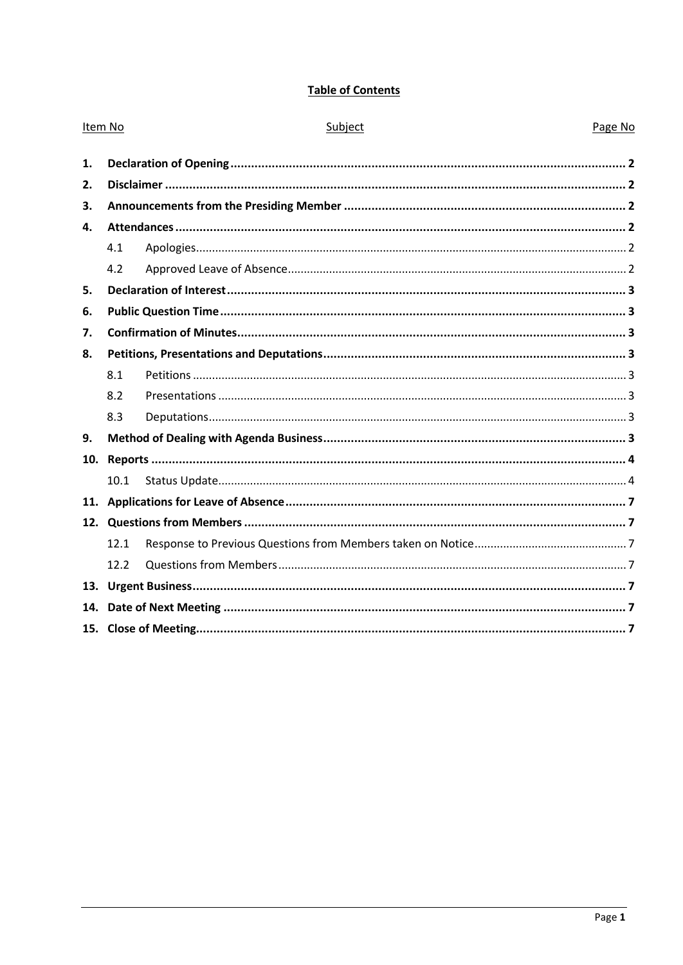## **Table of Contents**

| Item No |      | Subject | Page No |  |
|---------|------|---------|---------|--|
| 1.      |      |         |         |  |
| 2.      |      |         |         |  |
| 3.      |      |         |         |  |
| 4.      |      |         |         |  |
|         | 4.1  |         |         |  |
|         | 4.2  |         |         |  |
| 5.      |      |         |         |  |
| 6.      |      |         |         |  |
| 7.      |      |         |         |  |
| 8.      |      |         |         |  |
|         | 8.1  |         |         |  |
|         | 8.2  |         |         |  |
|         | 8.3  |         |         |  |
| 9.      |      |         |         |  |
| 10.     |      |         |         |  |
|         | 10.1 |         |         |  |
|         |      |         |         |  |
|         |      |         |         |  |
|         | 12.1 |         |         |  |
|         | 12.2 |         |         |  |
| 13.     |      |         |         |  |
| 14.     |      |         |         |  |
|         |      |         |         |  |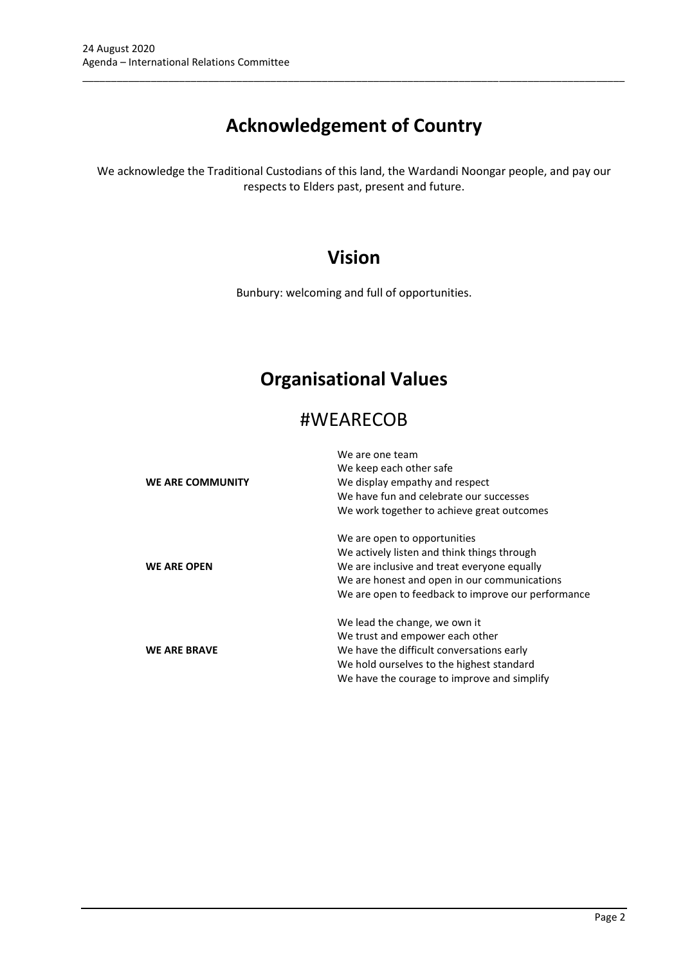# **Acknowledgement of Country**

\_\_\_\_\_\_\_\_\_\_\_\_\_\_\_\_\_\_\_\_\_\_\_\_\_\_\_\_\_\_\_\_\_\_\_\_\_\_\_\_\_\_\_\_\_\_\_\_\_\_\_\_\_\_\_\_\_\_\_\_\_\_\_\_\_\_\_\_\_\_\_\_\_\_\_\_\_\_\_\_\_\_\_\_\_\_\_\_\_\_\_\_\_\_\_

We acknowledge the Traditional Custodians of this land, the Wardandi Noongar people, and pay our respects to Elders past, present and future.

## **Vision**

Bunbury: welcoming and full of opportunities.

# **Organisational Values**

## #WEARECOB

|                     | We are one team                                    |  |  |
|---------------------|----------------------------------------------------|--|--|
|                     | We keep each other safe                            |  |  |
| WE ARE COMMUNITY    | We display empathy and respect                     |  |  |
|                     | We have fun and celebrate our successes            |  |  |
|                     | We work together to achieve great outcomes         |  |  |
|                     | We are open to opportunities                       |  |  |
|                     | We actively listen and think things through        |  |  |
| <b>WE ARE OPEN</b>  | We are inclusive and treat everyone equally        |  |  |
|                     | We are honest and open in our communications       |  |  |
|                     | We are open to feedback to improve our performance |  |  |
|                     | We lead the change, we own it                      |  |  |
|                     | We trust and empower each other                    |  |  |
| <b>WE ARE BRAVE</b> | We have the difficult conversations early          |  |  |
|                     | We hold ourselves to the highest standard          |  |  |
|                     | We have the courage to improve and simplify        |  |  |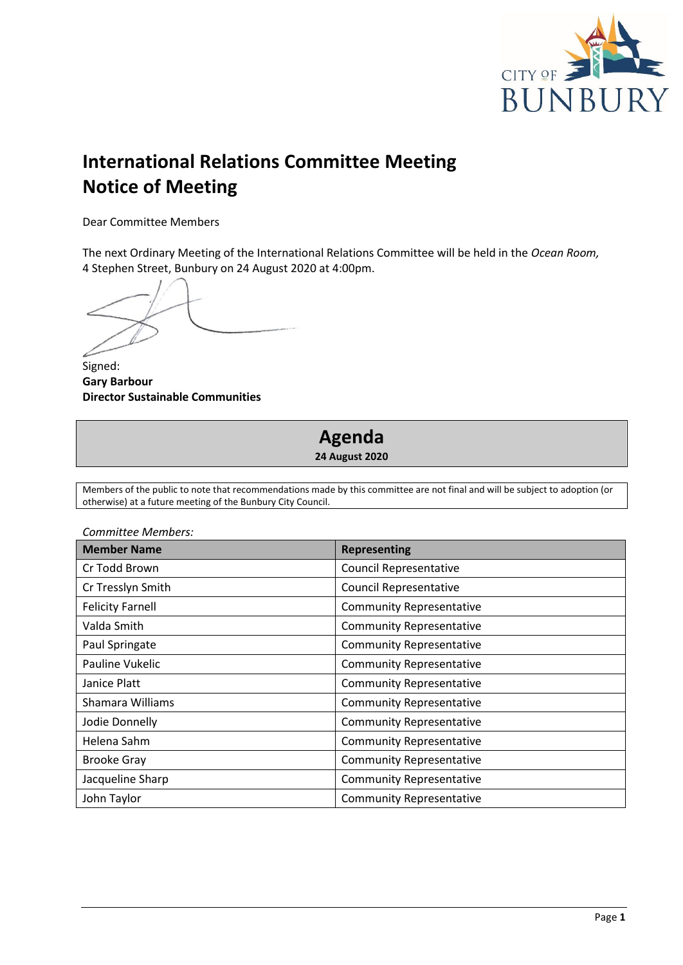

# **International Relations Committee Meeting Notice of Meeting**

Dear Committee Members

The next Ordinary Meeting of the International Relations Committee will be held in the *Ocean Room,*  4 Stephen Street, Bunbury on 24 August 2020 at 4:00pm.

Signed: **Gary Barbour Director Sustainable Communities**



Members of the public to note that recommendations made by this committee are not final and will be subject to adoption (or otherwise) at a future meeting of the Bunbury City Council.

| COMMITTEE MEMBETS.<br><b>Member Name</b> | <b>Representing</b>             |  |  |
|------------------------------------------|---------------------------------|--|--|
| Cr Todd Brown                            | <b>Council Representative</b>   |  |  |
| Cr Tresslyn Smith                        | <b>Council Representative</b>   |  |  |
| <b>Felicity Farnell</b>                  | <b>Community Representative</b> |  |  |
| Valda Smith                              | <b>Community Representative</b> |  |  |
| Paul Springate                           | <b>Community Representative</b> |  |  |
| Pauline Vukelic                          | <b>Community Representative</b> |  |  |
| Janice Platt                             | <b>Community Representative</b> |  |  |
| Shamara Williams                         | <b>Community Representative</b> |  |  |
| Jodie Donnelly                           | <b>Community Representative</b> |  |  |
| Helena Sahm                              | <b>Community Representative</b> |  |  |
| <b>Brooke Gray</b>                       | <b>Community Representative</b> |  |  |
| Jacqueline Sharp                         | <b>Community Representative</b> |  |  |
| John Taylor                              | <b>Community Representative</b> |  |  |

*Committee Members:*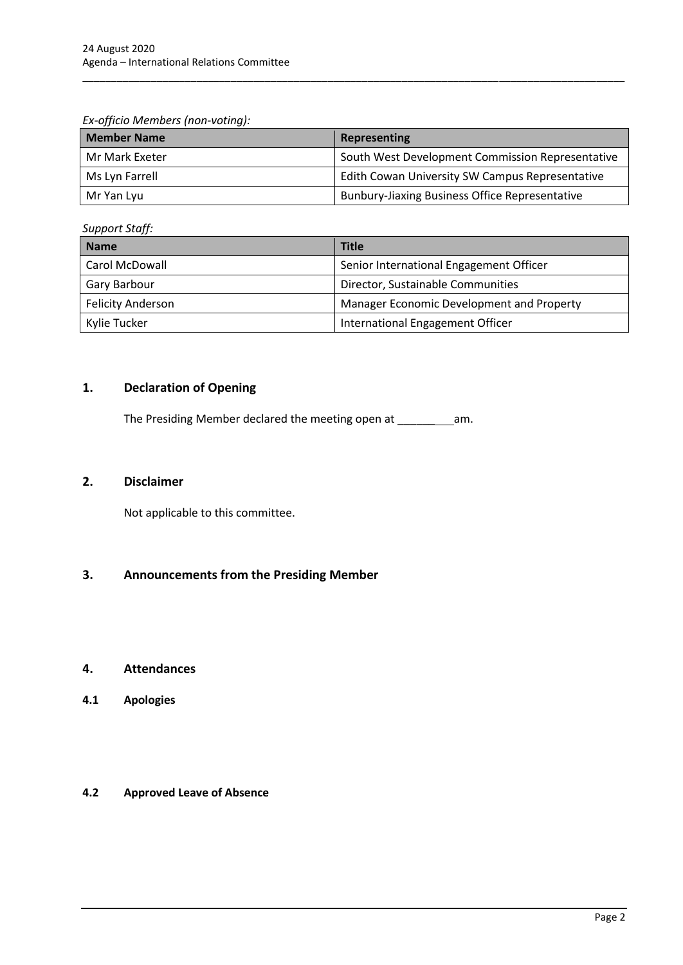*Ex-officio Members (non-voting):*

| <b>Member Name</b> | Representing                                          |
|--------------------|-------------------------------------------------------|
| Mr Mark Exeter     | South West Development Commission Representative      |
| Ms Lyn Farrell     | Edith Cowan University SW Campus Representative       |
| Mr Yan Lyu         | <b>Bunbury-Jiaxing Business Office Representative</b> |

\_\_\_\_\_\_\_\_\_\_\_\_\_\_\_\_\_\_\_\_\_\_\_\_\_\_\_\_\_\_\_\_\_\_\_\_\_\_\_\_\_\_\_\_\_\_\_\_\_\_\_\_\_\_\_\_\_\_\_\_\_\_\_\_\_\_\_\_\_\_\_\_\_\_\_\_\_\_\_\_\_\_\_\_\_\_\_\_\_\_\_\_\_\_\_

*Support Staff:*

| <b>Name</b>              | <b>Title</b>                              |  |
|--------------------------|-------------------------------------------|--|
| Carol McDowall           | Senior International Engagement Officer   |  |
| Gary Barbour             | Director, Sustainable Communities         |  |
| <b>Felicity Anderson</b> | Manager Economic Development and Property |  |
| Kylie Tucker             | International Engagement Officer          |  |

## <span id="page-4-0"></span>**1. Declaration of Opening**

The Presiding Member declared the meeting open at \_\_\_\_\_\_ am.

### <span id="page-4-1"></span>**2. Disclaimer**

Not applicable to this committee.

## <span id="page-4-2"></span>**3. Announcements from the Presiding Member**

#### <span id="page-4-3"></span>**4. Attendances**

<span id="page-4-4"></span>**4.1 Apologies**

#### <span id="page-4-5"></span>**4.2 Approved Leave of Absence**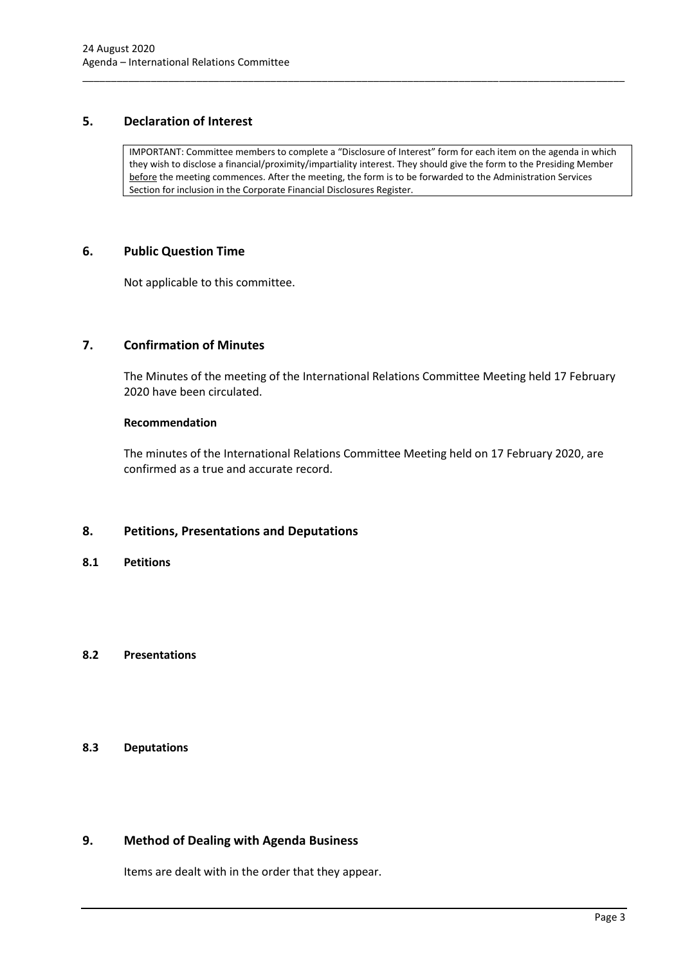## <span id="page-5-0"></span>**5. Declaration of Interest**

IMPORTANT: Committee members to complete a "Disclosure of Interest" form for each item on the agenda in which they wish to disclose a financial/proximity/impartiality interest. They should give the form to the Presiding Member before the meeting commences. After the meeting, the form is to be forwarded to the Administration Services Section for inclusion in the Corporate Financial Disclosures Register.

\_\_\_\_\_\_\_\_\_\_\_\_\_\_\_\_\_\_\_\_\_\_\_\_\_\_\_\_\_\_\_\_\_\_\_\_\_\_\_\_\_\_\_\_\_\_\_\_\_\_\_\_\_\_\_\_\_\_\_\_\_\_\_\_\_\_\_\_\_\_\_\_\_\_\_\_\_\_\_\_\_\_\_\_\_\_\_\_\_\_\_\_\_\_\_

### <span id="page-5-1"></span>**6. Public Question Time**

Not applicable to this committee.

## <span id="page-5-2"></span>**7. Confirmation of Minutes**

The Minutes of the meeting of the International Relations Committee Meeting held 17 February 2020 have been circulated.

#### **Recommendation**

The minutes of the International Relations Committee Meeting held on 17 February 2020, are confirmed as a true and accurate record.

## <span id="page-5-3"></span>**8. Petitions, Presentations and Deputations**

<span id="page-5-4"></span>**8.1 Petitions**

### <span id="page-5-5"></span>**8.2 Presentations**

## <span id="page-5-6"></span>**8.3 Deputations**

## <span id="page-5-7"></span>**9. Method of Dealing with Agenda Business**

Items are dealt with in the order that they appear.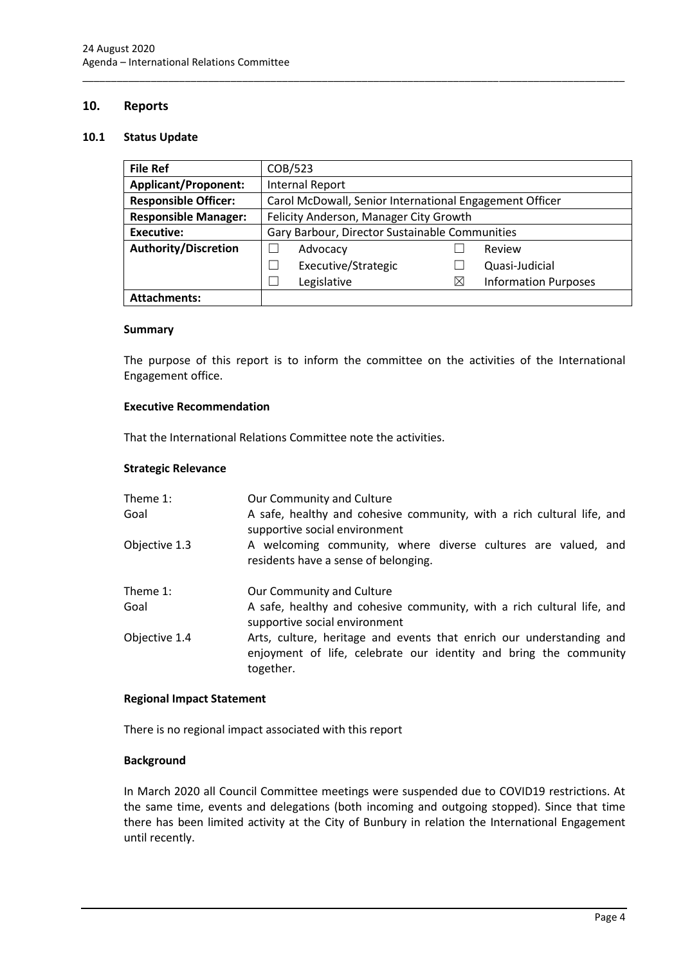## <span id="page-6-0"></span>**10. Reports**

#### <span id="page-6-1"></span>**10.1 Status Update**

| <b>File Ref</b>             | COB/523                                                 |   |                             |  |
|-----------------------------|---------------------------------------------------------|---|-----------------------------|--|
| <b>Applicant/Proponent:</b> | <b>Internal Report</b>                                  |   |                             |  |
| <b>Responsible Officer:</b> | Carol McDowall, Senior International Engagement Officer |   |                             |  |
| <b>Responsible Manager:</b> | Felicity Anderson, Manager City Growth                  |   |                             |  |
| <b>Executive:</b>           | Gary Barbour, Director Sustainable Communities          |   |                             |  |
| <b>Authority/Discretion</b> | Advocacy                                                |   | Review                      |  |
|                             | Executive/Strategic                                     |   | Quasi-Judicial              |  |
|                             | Legislative                                             | ⋉ | <b>Information Purposes</b> |  |
| <b>Attachments:</b>         |                                                         |   |                             |  |

\_\_\_\_\_\_\_\_\_\_\_\_\_\_\_\_\_\_\_\_\_\_\_\_\_\_\_\_\_\_\_\_\_\_\_\_\_\_\_\_\_\_\_\_\_\_\_\_\_\_\_\_\_\_\_\_\_\_\_\_\_\_\_\_\_\_\_\_\_\_\_\_\_\_\_\_\_\_\_\_\_\_\_\_\_\_\_\_\_\_\_\_\_\_\_

#### **Summary**

The purpose of this report is to inform the committee on the activities of the International Engagement office.

#### **Executive Recommendation**

That the International Relations Committee note the activities.

#### **Strategic Relevance**

| Theme 1:      | Our Community and Culture                                                                                                                              |
|---------------|--------------------------------------------------------------------------------------------------------------------------------------------------------|
| Goal          | A safe, healthy and cohesive community, with a rich cultural life, and<br>supportive social environment                                                |
| Objective 1.3 | A welcoming community, where diverse cultures are valued, and<br>residents have a sense of belonging.                                                  |
| Theme 1:      | Our Community and Culture                                                                                                                              |
| Goal          | A safe, healthy and cohesive community, with a rich cultural life, and<br>supportive social environment                                                |
| Objective 1.4 | Arts, culture, heritage and events that enrich our understanding and<br>enjoyment of life, celebrate our identity and bring the community<br>together. |

#### **Regional Impact Statement**

There is no regional impact associated with this report

#### **Background**

In March 2020 all Council Committee meetings were suspended due to COVID19 restrictions. At the same time, events and delegations (both incoming and outgoing stopped). Since that time there has been limited activity at the City of Bunbury in relation the International Engagement until recently.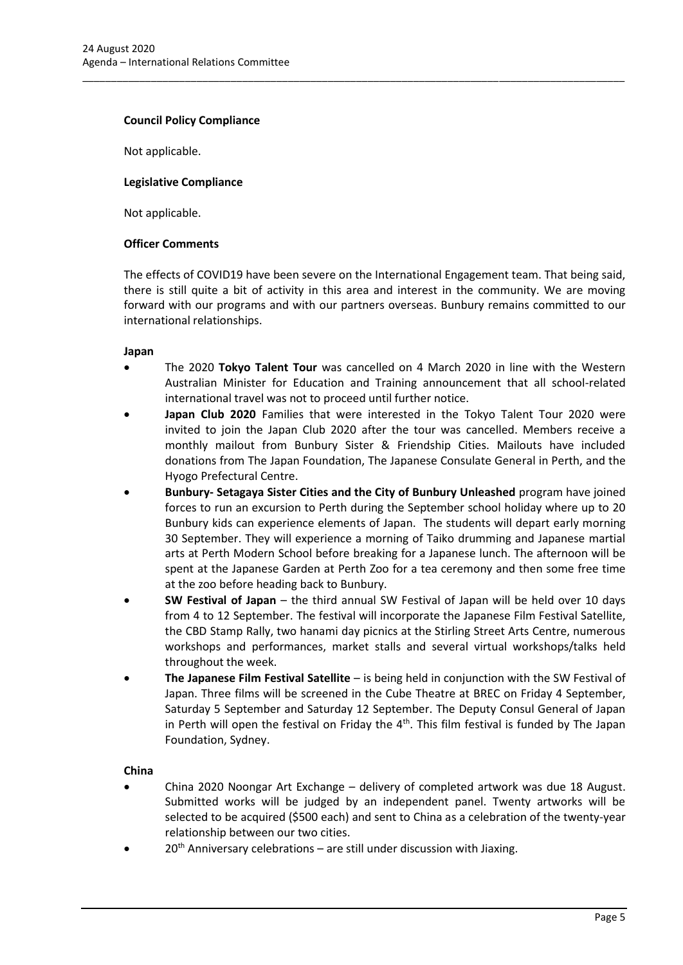#### **Council Policy Compliance**

Not applicable.

#### **Legislative Compliance**

Not applicable.

#### **Officer Comments**

The effects of COVID19 have been severe on the International Engagement team. That being said, there is still quite a bit of activity in this area and interest in the community. We are moving forward with our programs and with our partners overseas. Bunbury remains committed to our international relationships.

\_\_\_\_\_\_\_\_\_\_\_\_\_\_\_\_\_\_\_\_\_\_\_\_\_\_\_\_\_\_\_\_\_\_\_\_\_\_\_\_\_\_\_\_\_\_\_\_\_\_\_\_\_\_\_\_\_\_\_\_\_\_\_\_\_\_\_\_\_\_\_\_\_\_\_\_\_\_\_\_\_\_\_\_\_\_\_\_\_\_\_\_\_\_\_

#### **Japan**

- The 2020 **Tokyo Talent Tour** was cancelled on 4 March 2020 in line with the Western Australian Minister for Education and Training announcement that all school-related international travel was not to proceed until further notice.
- **Japan Club 2020** Families that were interested in the Tokyo Talent Tour 2020 were invited to join the Japan Club 2020 after the tour was cancelled. Members receive a monthly mailout from Bunbury Sister & Friendship Cities. Mailouts have included donations from The Japan Foundation, The Japanese Consulate General in Perth, and the Hyogo Prefectural Centre.
- **Bunbury- Setagaya Sister Cities and the City of Bunbury Unleashed** program have joined forces to run an excursion to Perth during the September school holiday where up to 20 Bunbury kids can experience elements of Japan. The students will depart early morning 30 September. They will experience a morning of Taiko drumming and Japanese martial arts at Perth Modern School before breaking for a Japanese lunch. The afternoon will be spent at the Japanese Garden at Perth Zoo for a tea ceremony and then some free time at the zoo before heading back to Bunbury.
- **SW Festival of Japan** the third annual SW Festival of Japan will be held over 10 days from 4 to 12 September. The festival will incorporate the Japanese Film Festival Satellite, the CBD Stamp Rally, two hanami day picnics at the Stirling Street Arts Centre, numerous workshops and performances, market stalls and several virtual workshops/talks held throughout the week.
- **The Japanese Film Festival Satellite**  is being held in conjunction with the SW Festival of Japan. Three films will be screened in the Cube Theatre at BREC on Friday 4 September, Saturday 5 September and Saturday 12 September. The Deputy Consul General of Japan in Perth will open the festival on Friday the  $4<sup>th</sup>$ . This film festival is funded by The Japan Foundation, Sydney.

#### **China**

- China 2020 Noongar Art Exchange delivery of completed artwork was due 18 August. Submitted works will be judged by an independent panel. Twenty artworks will be selected to be acquired (\$500 each) and sent to China as a celebration of the twenty-year relationship between our two cities.
- $20<sup>th</sup>$  Anniversary celebrations are still under discussion with Jiaxing.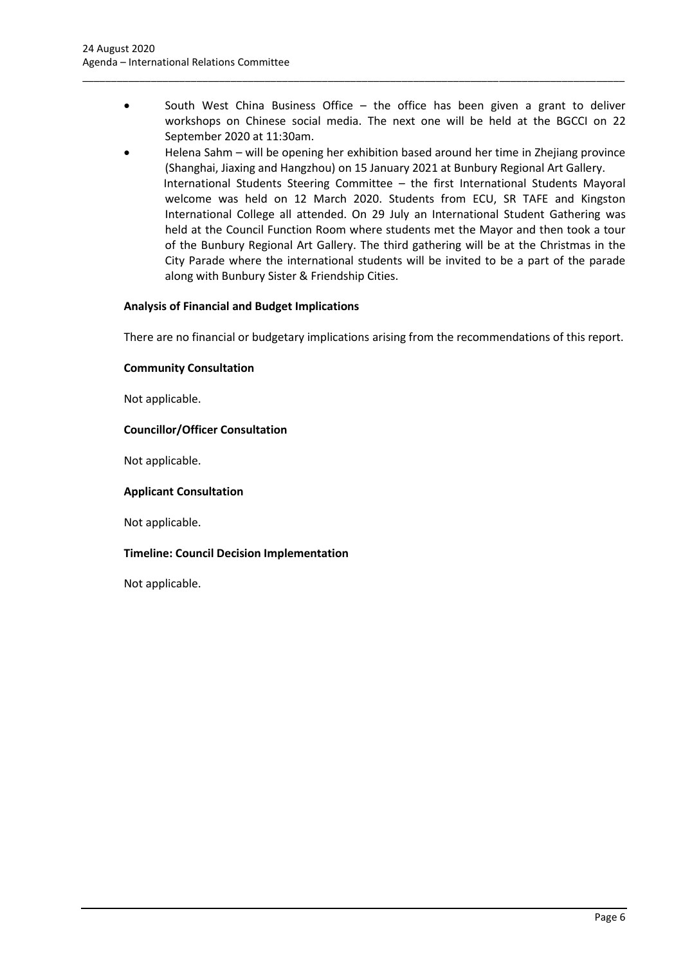South West China Business Office  $-$  the office has been given a grant to deliver workshops on Chinese social media. The next one will be held at the BGCCI on 22 September 2020 at 11:30am.

\_\_\_\_\_\_\_\_\_\_\_\_\_\_\_\_\_\_\_\_\_\_\_\_\_\_\_\_\_\_\_\_\_\_\_\_\_\_\_\_\_\_\_\_\_\_\_\_\_\_\_\_\_\_\_\_\_\_\_\_\_\_\_\_\_\_\_\_\_\_\_\_\_\_\_\_\_\_\_\_\_\_\_\_\_\_\_\_\_\_\_\_\_\_\_

• Helena Sahm – will be opening her exhibition based around her time in Zhejiang province (Shanghai, Jiaxing and Hangzhou) on 15 January 2021 at Bunbury Regional Art Gallery. International Students Steering Committee – the first International Students Mayoral welcome was held on 12 March 2020. Students from ECU, SR TAFE and Kingston International College all attended. On 29 July an International Student Gathering was held at the Council Function Room where students met the Mayor and then took a tour of the Bunbury Regional Art Gallery. The third gathering will be at the Christmas in the City Parade where the international students will be invited to be a part of the parade along with Bunbury Sister & Friendship Cities.

### **Analysis of Financial and Budget Implications**

There are no financial or budgetary implications arising from the recommendations of this report.

#### **Community Consultation**

Not applicable.

#### **Councillor/Officer Consultation**

Not applicable.

#### **Applicant Consultation**

Not applicable.

#### **Timeline: Council Decision Implementation**

Not applicable.